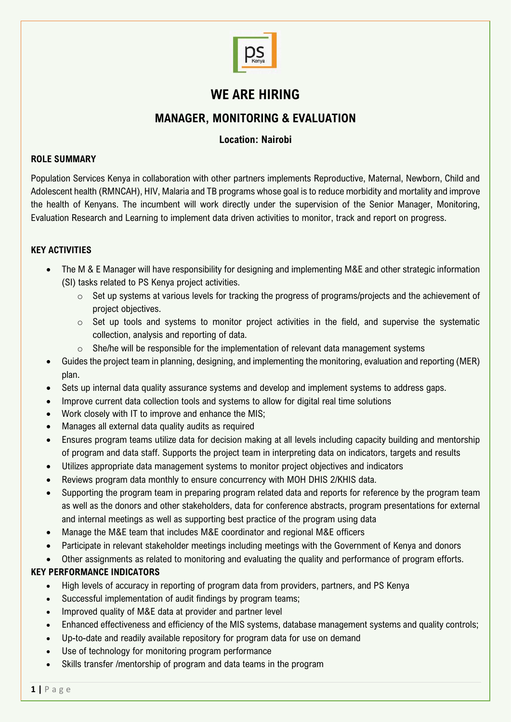

# **WE ARE HIRING**

## **MANAGER, MONITORING & EVALUATION**

### **Location: Nairobi**

#### **ROLE SUMMARY**

Population Services Kenya in collaboration with other partners implements Reproductive, Maternal, Newborn, Child and Adolescent health (RMNCAH), HIV, Malaria and TB programs whose goal is to reduce morbidity and mortality and improve the health of Kenyans. The incumbent will work directly under the supervision of the Senior Manager, Monitoring, Evaluation Research and Learning to implement data driven activities to monitor, track and report on progress.

#### **KEY ACTIVITIES**

- The M & E Manager will have responsibility for designing and implementing M&E and other strategic information (SI) tasks related to PS Kenya project activities.
	- $\circ$  Set up systems at various levels for tracking the progress of programs/projects and the achievement of project objectives.
	- o Set up tools and systems to monitor project activities in the field, and supervise the systematic collection, analysis and reporting of data.
	- $\circ$  She/he will be responsible for the implementation of relevant data management systems
- Guides the project team in planning, designing, and implementing the monitoring, evaluation and reporting (MER) plan.
- Sets up internal data quality assurance systems and develop and implement systems to address gaps.
- Improve current data collection tools and systems to allow for digital real time solutions
- Work closely with IT to improve and enhance the MIS;
- Manages all external data quality audits as required
- Ensures program teams utilize data for decision making at all levels including capacity building and mentorship of program and data staff. Supports the project team in interpreting data on indicators, targets and results
- Utilizes appropriate data management systems to monitor project objectives and indicators
- Reviews program data monthly to ensure concurrency with MOH DHIS 2/KHIS data.
- Supporting the program team in preparing program related data and reports for reference by the program team as well as the donors and other stakeholders, data for conference abstracts, program presentations for external and internal meetings as well as supporting best practice of the program using data
- Manage the M&E team that includes M&E coordinator and regional M&E officers
- Participate in relevant stakeholder meetings including meetings with the Government of Kenya and donors
- Other assignments as related to monitoring and evaluating the quality and performance of program efforts.

## **KEY PERFORMANCE INDICATORS**

- High levels of accuracy in reporting of program data from providers, partners, and PS Kenya
- Successful implementation of audit findings by program teams;
- Improved quality of M&E data at provider and partner level
- Enhanced effectiveness and efficiency of the MIS systems, database management systems and quality controls;
- Up-to-date and readily available repository for program data for use on demand
- Use of technology for monitoring program performance
- Skills transfer /mentorship of program and data teams in the program